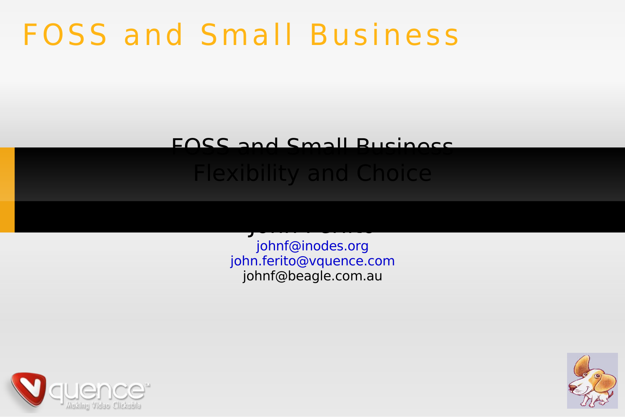## **FOSS and Small Business**

#### FACC and Cmall Rucinocc

#### **Flexibility and Choice**

johnf@inodes.org john.ferito@vquence.com johnf@beagle.com.au



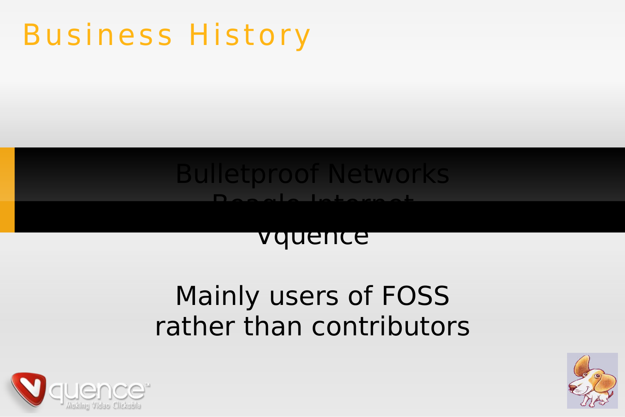## **Business History**

### **Bulletproof Networks**

#### vquence

### Mainly users of FOSS rather than contributors



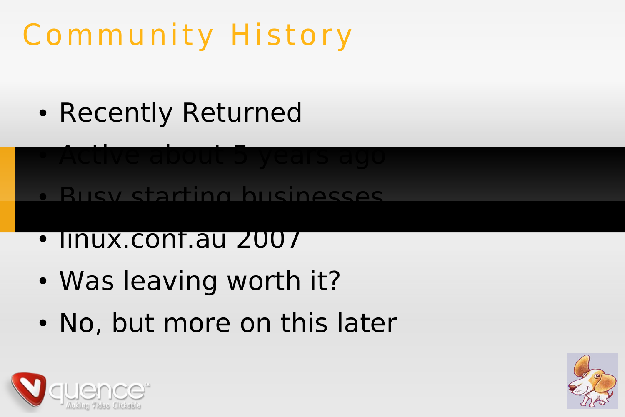# Community History

- Recently Returned
- Active about 5 years ago
- Busy starting businesses
- linux.conf.au 2007
- Was leaving worth it?
- No, but more on this later



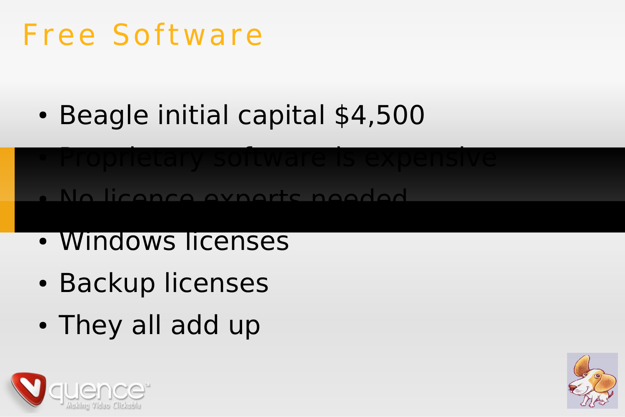## Free Software

• Beagle initial capital \$4,500

# ● Proprietary software is expensive

● No licence experts needed

- Windows licenses
- Backup licenses
- They all add up



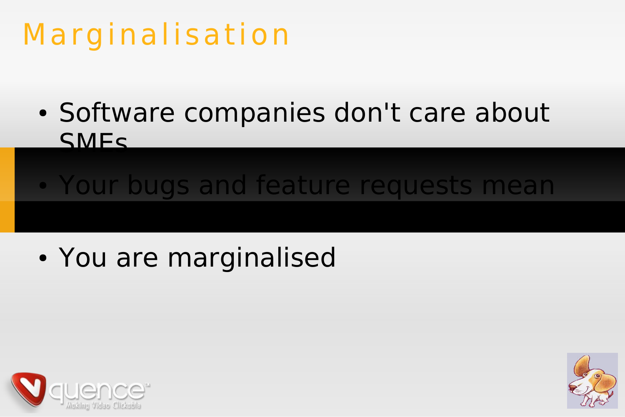## Marginalisation

• Software companies don't care about SMEs

## • Your bugs and feature requests mean

## • You are marginalised



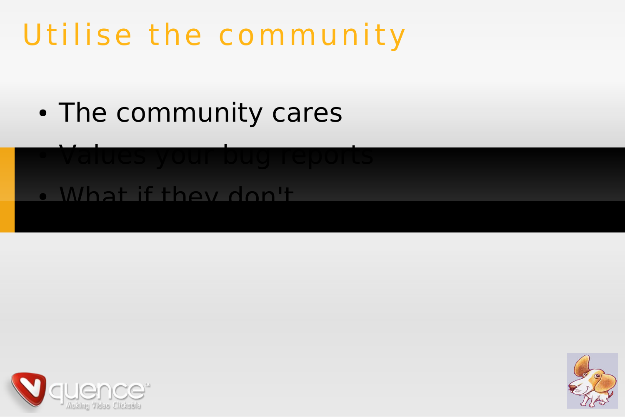## Utilise the community

• The community cares

#### ● Values your bug reports • What if they don't



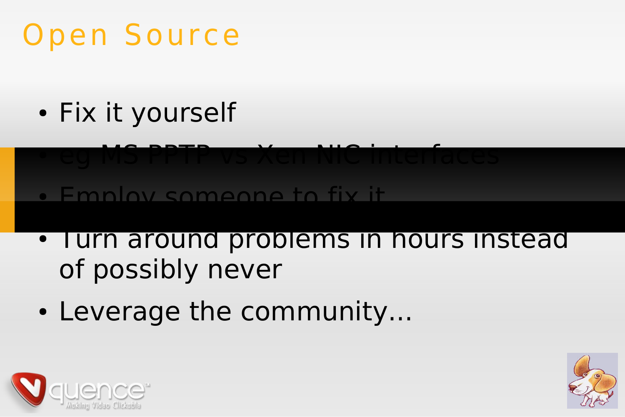## Open Source

• Fix it yourself



- I urn around problems in hours instead of possibly never
- Leverage the community...



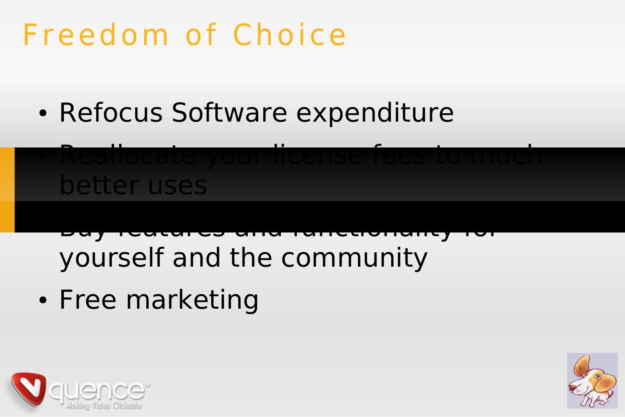## Freedom of Choice

• Refocus Software expenditure



- Buy features and functionality for yourself and the community
- Free marketing



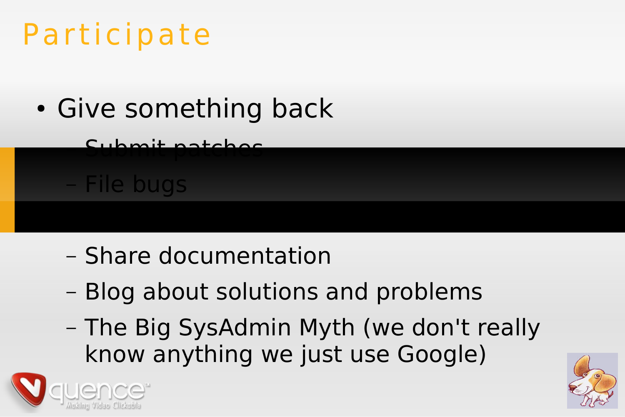## Participate

- Give something back
	- Submit patches

File bugs

– Share documentation

– Write new features

- Blog about solutions and problems
- The Big SysAdmin Myth (we don't really know anything we just use Google)



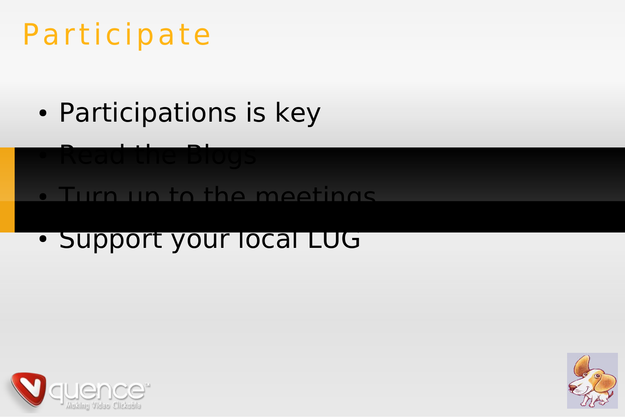## Participate

- Participations is key
- Read the Blogs • Turn up to the meetings
	- Support your local LUG



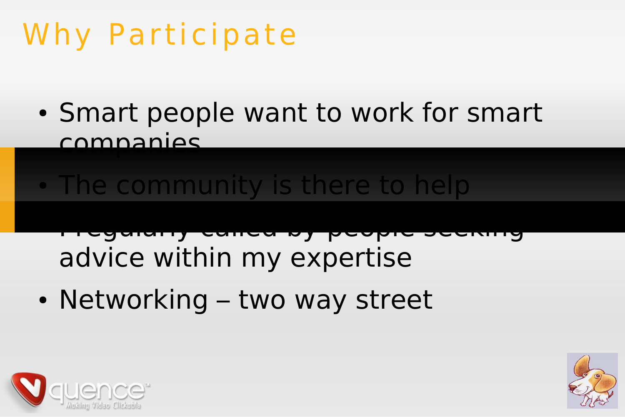## Why Participate

• Smart people want to work for smart companies

#### • The community is there to help

- I regularly called by people seeking advice within my expertise
- Networking two way street